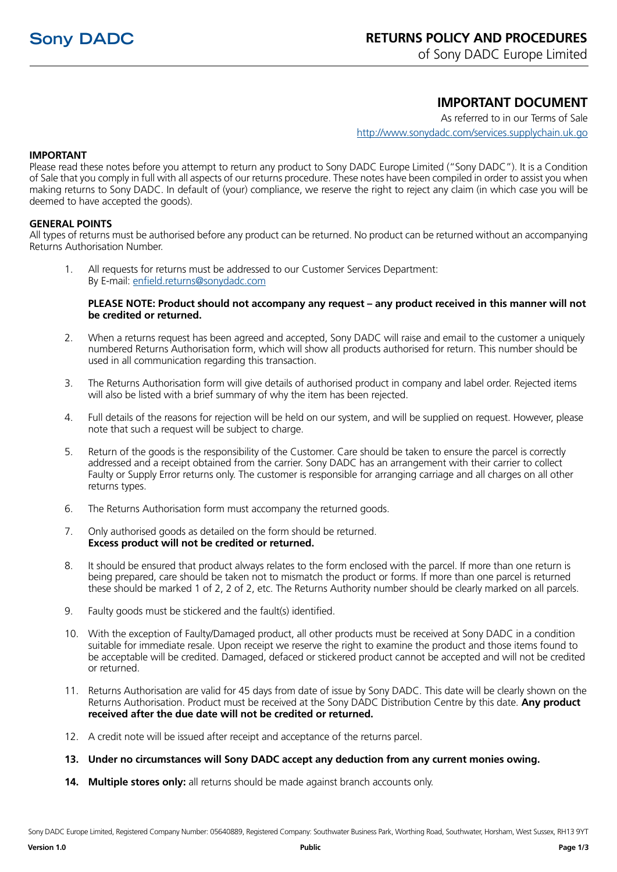of Sony DADC Europe Limited

# **IMPORTANT DOCUMENT**

As referred to in our Terms of Sale http://www.sonydadc.com/services.supplychain.uk.go

### **IMPORTANT**

Please read these notes before you attempt to return any product to Sony DADC Europe Limited ("Sony DADC"). It is a Condition of Sale that you comply in full with all aspects of our returns procedure. These notes have been compiled in order to assist you when making returns to Sony DADC. In default of (your) compliance, we reserve the right to reject any claim (in which case you will be deemed to have accepted the goods).

#### **GENERAL POINTS**

All types of returns must be authorised before any product can be returned. No product can be returned without an accompanying Returns Authorisation Number.

1. All requests for returns must be addressed to our Customer Services Department: By E-mail: enfield.returns@sonydadc.com

#### **PLEASE NOTE: Product should not accompany any request – any product received in this manner will not be credited or returned.**

- 2. When a returns request has been agreed and accepted, Sony DADC will raise and email to the customer a uniquely numbered Returns Authorisation form, which will show all products authorised for return. This number should be used in all communication regarding this transaction.
- 3. The Returns Authorisation form will give details of authorised product in company and label order. Rejected items will also be listed with a brief summary of why the item has been rejected.
- 4. Full details of the reasons for rejection will be held on our system, and will be supplied on request. However, please note that such a request will be subject to charge.
- 5. Return of the goods is the responsibility of the Customer. Care should be taken to ensure the parcel is correctly addressed and a receipt obtained from the carrier. Sony DADC has an arrangement with their carrier to collect Faulty or Supply Error returns only. The customer is responsible for arranging carriage and all charges on all other returns types.
- 6. The Returns Authorisation form must accompany the returned goods.
- 7. Only authorised goods as detailed on the form should be returned. **Excess product will not be credited or returned.**
- 8. It should be ensured that product always relates to the form enclosed with the parcel. If more than one return is being prepared, care should be taken not to mismatch the product or forms. If more than one parcel is returned these should be marked 1 of 2, 2 of 2, etc. The Returns Authority number should be clearly marked on all parcels.
- 9. Faulty goods must be stickered and the fault(s) identified.
- 10. With the exception of Faulty/Damaged product, all other products must be received at Sony DADC in a condition suitable for immediate resale. Upon receipt we reserve the right to examine the product and those items found to be acceptable will be credited. Damaged, defaced or stickered product cannot be accepted and will not be credited or returned.
- 11. Returns Authorisation are valid for 45 days from date of issue by Sony DADC. This date will be clearly shown on the Returns Authorisation. Product must be received at the Sony DADC Distribution Centre by this date. **Any product received after the due date will not be credited or returned.**
- 12. A credit note will be issued after receipt and acceptance of the returns parcel.
- **13. Under no circumstances will Sony DADC accept any deduction from any current monies owing.**
- **14. Multiple stores only:** all returns should be made against branch accounts only.

Sony DADC Europe Limited, Registered Company Number: 05640889, Registered Company: Southwater Business Park, Worthing Road, Southwater, Horsham, West Sussex, RH13 9YT

**Version 1.0 Public Page 1/3**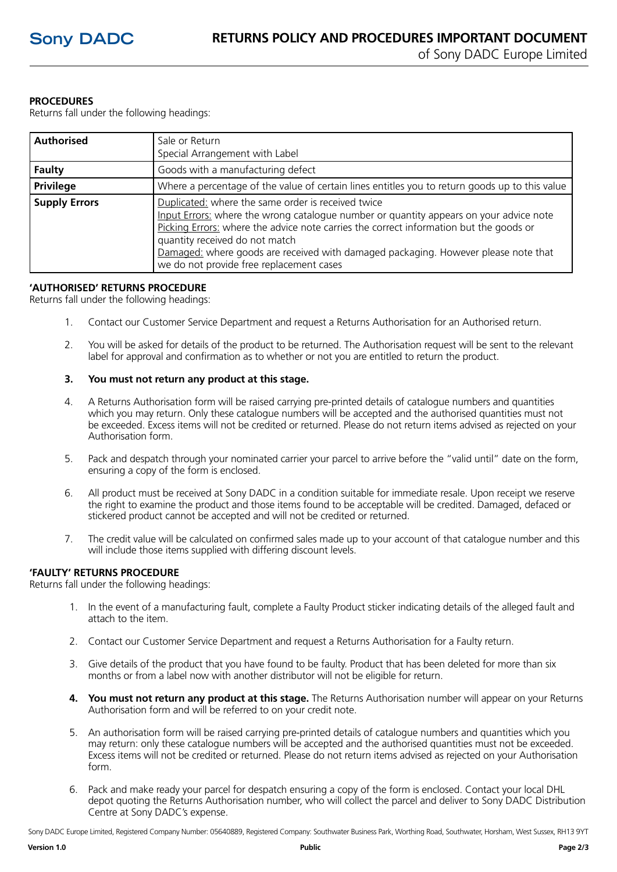# **PROCEDURES**

Returns fall under the following headings:

| <b>Authorised</b>    | Sale or Return<br>Special Arrangement with Label                                                                                                                                                                                                                                                                                                                                                           |
|----------------------|------------------------------------------------------------------------------------------------------------------------------------------------------------------------------------------------------------------------------------------------------------------------------------------------------------------------------------------------------------------------------------------------------------|
| Faulty               | Goods with a manufacturing defect                                                                                                                                                                                                                                                                                                                                                                          |
| <b>Privilege</b>     | Where a percentage of the value of certain lines entitles you to return goods up to this value                                                                                                                                                                                                                                                                                                             |
| <b>Supply Errors</b> | Duplicated: where the same order is received twice<br>Input Errors: where the wrong catalogue number or quantity appears on your advice note<br>Picking Errors: where the advice note carries the correct information but the goods or<br>quantity received do not match<br>Damaged: where goods are received with damaged packaging. However please note that<br>we do not provide free replacement cases |

## **'AUTHORISED' RETURNS PROCEDURE**

Returns fall under the following headings:

- 1. Contact our Customer Service Department and request a Returns Authorisation for an Authorised return.
- 2. You will be asked for details of the product to be returned. The Authorisation request will be sent to the relevant label for approval and confirmation as to whether or not you are entitled to return the product.

## **3. You must not return any product at this stage.**

- 4. A Returns Authorisation form will be raised carrying pre-printed details of catalogue numbers and quantities which you may return. Only these catalogue numbers will be accepted and the authorised quantities must not be exceeded. Excess items will not be credited or returned. Please do not return items advised as rejected on your Authorisation form.
- 5. Pack and despatch through your nominated carrier your parcel to arrive before the "valid until" date on the form, ensuring a copy of the form is enclosed.
- 6. All product must be received at Sony DADC in a condition suitable for immediate resale. Upon receipt we reserve the right to examine the product and those items found to be acceptable will be credited. Damaged, defaced or stickered product cannot be accepted and will not be credited or returned.
- 7. The credit value will be calculated on confirmed sales made up to your account of that catalogue number and this will include those items supplied with differing discount levels.

# **'FAULTY' RETURNS PROCEDURE**

Returns fall under the following headings:

- 1. In the event of a manufacturing fault, complete a Faulty Product sticker indicating details of the alleged fault and attach to the item.
- 2. Contact our Customer Service Department and request a Returns Authorisation for a Faulty return.
- 3. Give details of the product that you have found to be faulty. Product that has been deleted for more than six months or from a label now with another distributor will not be eligible for return.
- **4. You must not return any product at this stage.** The Returns Authorisation number will appear on your Returns Authorisation form and will be referred to on your credit note.
- 5. An authorisation form will be raised carrying pre-printed details of catalogue numbers and quantities which you may return: only these catalogue numbers will be accepted and the authorised quantities must not be exceeded. Excess items will not be credited or returned. Please do not return items advised as rejected on your Authorisation form.
- 6. Pack and make ready your parcel for despatch ensuring a copy of the form is enclosed. Contact your local DHL depot quoting the Returns Authorisation number, who will collect the parcel and deliver to Sony DADC Distribution Centre at Sony DADC's expense.

Sony DADC Europe Limited, Registered Company Number: 05640889, Registered Company: Southwater Business Park, Worthing Road, Southwater, Horsham, West Sussex, RH13 9YT